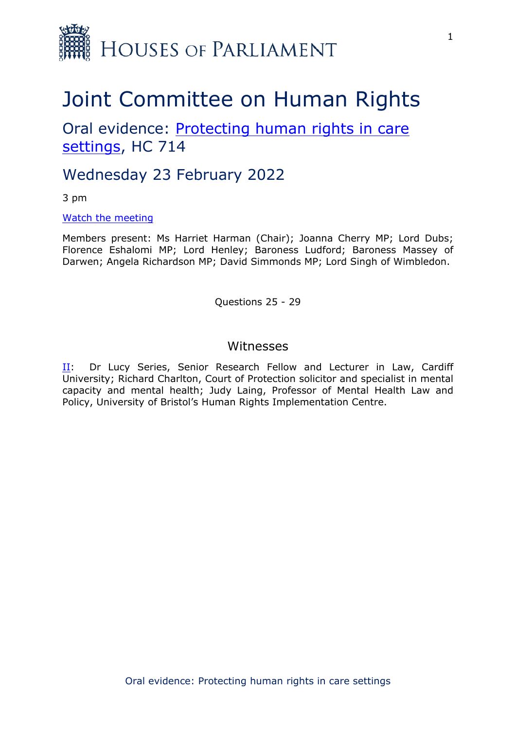

# Joint Committee on Human Rights

Oral evidence: [Protecting](https://committees.parliament.uk/work/1495/protecting-human-rights-in-care-settings/) [human](https://committees.parliament.uk/work/1495/protecting-human-rights-in-care-settings/) [rights](https://committees.parliament.uk/work/1495/protecting-human-rights-in-care-settings/) [in](https://committees.parliament.uk/work/1495/protecting-human-rights-in-care-settings/) [care](https://committees.parliament.uk/work/1495/protecting-human-rights-in-care-settings/) [settings](https://committees.parliament.uk/work/1495/protecting-human-rights-in-care-settings/), HC 714

# Wednesday 23 February 2022

3 pm

[Watch](https://parliamentlive.tv/event/index/dd9f7454-4672-4ac7-b070-0ed9d2b26f14) [the](https://parliamentlive.tv/event/index/dd9f7454-4672-4ac7-b070-0ed9d2b26f14) [meeting](https://parliamentlive.tv/event/index/dd9f7454-4672-4ac7-b070-0ed9d2b26f14)

Members present: Ms Harriet Harman (Chair); Joanna Cherry MP; Lord Dubs; Florence Eshalomi MP; Lord Henley; Baroness Ludford; Baroness Massey of Darwen; Angela Richardson MP; David Simmonds MP; Lord Singh of Wimbledon.

Questions 25 - 29

### <span id="page-0-0"></span>Witnesses

[II](#page-0-0): Dr Lucy Series, Senior Research Fellow and Lecturer in Law, Cardiff University; Richard Charlton, Court of Protection solicitor and specialist in mental capacity and mental health; Judy Laing, Professor of Mental Health Law and Policy, University of Bristol's Human Rights Implementation Centre.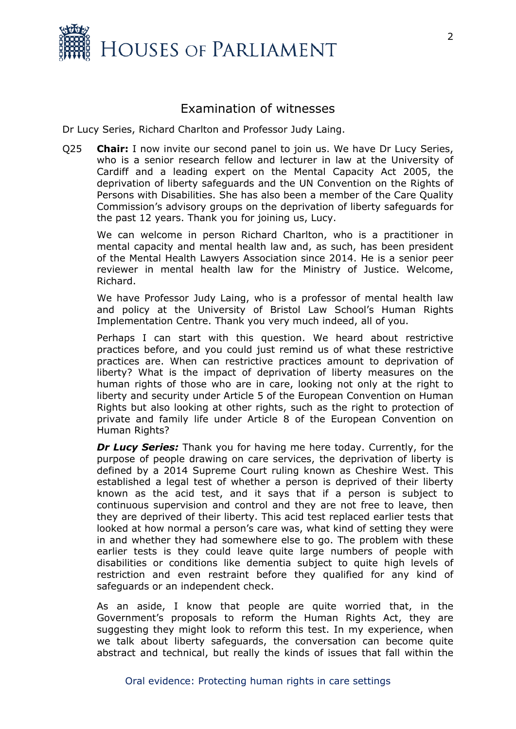

## Examination of witnesses

Dr Lucy Series, Richard Charlton and Professor Judy Laing.

Q25 **Chair:** I now invite our second panel to join us. We have Dr Lucy Series, who is a senior research fellow and lecturer in law at the University of Cardiff and a leading expert on the Mental Capacity Act 2005, the deprivation of liberty safeguards and the UN Convention on the Rights of Persons with Disabilities. She has also been a member of the Care Quality Commission's advisory groups on the deprivation of liberty safeguards for the past 12 years. Thank you for joining us, Lucy.

We can welcome in person Richard Charlton, who is a practitioner in mental capacity and mental health law and, as such, has been president of the Mental Health Lawyers Association since 2014. He is a senior peer reviewer in mental health law for the Ministry of Justice. Welcome, Richard.

We have Professor Judy Laing, who is a professor of mental health law and policy at the University of Bristol Law School's Human Rights Implementation Centre. Thank you very much indeed, all of you.

Perhaps I can start with this question. We heard about restrictive practices before, and you could just remind us of what these restrictive practices are. When can restrictive practices amount to deprivation of liberty? What is the impact of deprivation of liberty measures on the human rights of those who are in care, looking not only at the right to liberty and security under Article 5 of the European Convention on Human Rights but also looking at other rights, such as the right to protection of private and family life under Article 8 of the European Convention on Human Rights?

*Dr Lucy Series:* Thank you for having me here today. Currently, for the purpose of people drawing on care services, the deprivation of liberty is defined by a 2014 Supreme Court ruling known as Cheshire West. This established a legal test of whether a person is deprived of their liberty known as the acid test, and it says that if a person is subject to continuous supervision and control and they are not free to leave, then they are deprived of their liberty. This acid test replaced earlier tests that looked at how normal a person's care was, what kind of setting they were in and whether they had somewhere else to go. The problem with these earlier tests is they could leave quite large numbers of people with disabilities or conditions like dementia subject to quite high levels of restriction and even restraint before they qualified for any kind of safeguards or an independent check.

As an aside, I know that people are quite worried that, in the Government's proposals to reform the Human Rights Act, they are suggesting they might look to reform this test. In my experience, when we talk about liberty safeguards, the conversation can become quite abstract and technical, but really the kinds of issues that fall within the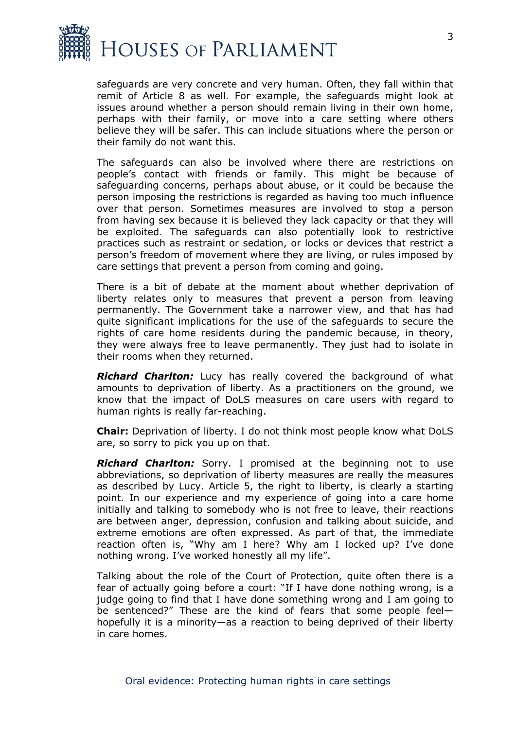

safeguards are very concrete and very human. Often, they fall within that remit of Article 8 as well. For example, the safeguards might look at issues around whether a person should remain living in their own home, perhaps with their family, or move into a care setting where others believe they will be safer. This can include situations where the person or their family do not want this.

The safeguards can also be involved where there are restrictions on people's contact with friends or family. This might be because of safeguarding concerns, perhaps about abuse, or it could be because the person imposing the restrictions is regarded as having too much influence over that person. Sometimes measures are involved to stop a person from having sex because it is believed they lack capacity or that they will be exploited. The safeguards can also potentially look to restrictive practices such as restraint or sedation, or locks or devices that restrict a person's freedom of movement where they are living, or rules imposed by care settings that prevent a person from coming and going.

There is a bit of debate at the moment about whether deprivation of liberty relates only to measures that prevent a person from leaving permanently. The Government take a narrower view, and that has had quite significant implications for the use of the safeguards to secure the rights of care home residents during the pandemic because, in theory, they were always free to leave permanently. They just had to isolate in their rooms when they returned.

*Richard Charlton:* Lucy has really covered the background of what amounts to deprivation of liberty. As a practitioners on the ground, we know that the impact of DoLS measures on care users with regard to human rights is really far-reaching.

**Chair:** Deprivation of liberty. I do not think most people know what DoLS are, so sorry to pick you up on that.

*Richard Charlton:* Sorry. I promised at the beginning not to use abbreviations, so deprivation of liberty measures are really the measures as described by Lucy. Article 5, the right to liberty, is clearly a starting point. In our experience and my experience of going into a care home initially and talking to somebody who is not free to leave, their reactions are between anger, depression, confusion and talking about suicide, and extreme emotions are often expressed. As part of that, the immediate reaction often is, "Why am I here? Why am I locked up? I've done nothing wrong. I've worked honestly all my life".

Talking about the role of the Court of Protection, quite often there is a fear of actually going before a court: "If I have done nothing wrong, is a judge going to find that I have done something wrong and I am going to be sentenced?" These are the kind of fears that some people feel hopefully it is a minority—as a reaction to being deprived of their liberty in care homes.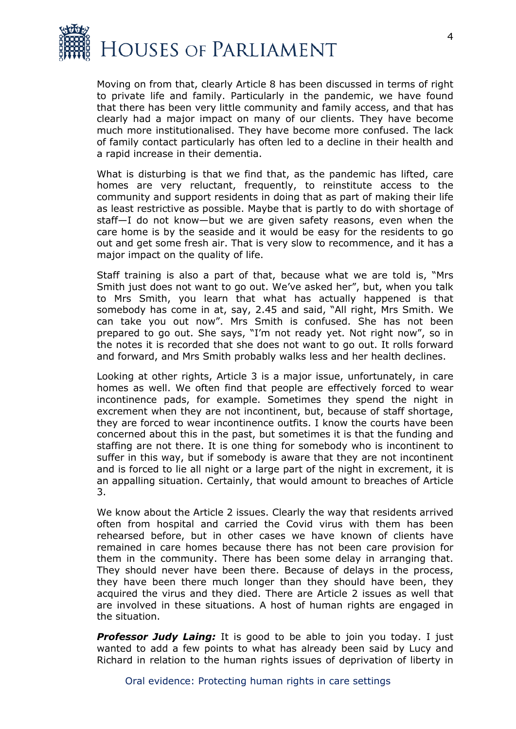

Moving on from that, clearly Article 8 has been discussed in terms of right to private life and family. Particularly in the pandemic, we have found that there has been very little community and family access, and that has clearly had a major impact on many of our clients. They have become much more institutionalised. They have become more confused. The lack of family contact particularly has often led to a decline in their health and a rapid increase in their dementia.

What is disturbing is that we find that, as the pandemic has lifted, care homes are very reluctant, frequently, to reinstitute access to the community and support residents in doing that as part of making their life as least restrictive as possible. Maybe that is partly to do with shortage of staff—I do not know—but we are given safety reasons, even when the care home is by the seaside and it would be easy for the residents to go out and get some fresh air. That is very slow to recommence, and it has a major impact on the quality of life.

Staff training is also a part of that, because what we are told is, "Mrs Smith just does not want to go out. We've asked her", but, when you talk to Mrs Smith, you learn that what has actually happened is that somebody has come in at, say, 2.45 and said, "All right, Mrs Smith. We can take you out now". Mrs Smith is confused. She has not been prepared to go out. She says, "I'm not ready yet. Not right now", so in the notes it is recorded that she does not want to go out. It rolls forward and forward, and Mrs Smith probably walks less and her health declines.

Looking at other rights, Article 3 is a major issue, unfortunately, in care homes as well. We often find that people are effectively forced to wear incontinence pads, for example. Sometimes they spend the night in excrement when they are not incontinent, but, because of staff shortage, they are forced to wear incontinence outfits. I know the courts have been concerned about this in the past, but sometimes it is that the funding and staffing are not there. It is one thing for somebody who is incontinent to suffer in this way, but if somebody is aware that they are not incontinent and is forced to lie all night or a large part of the night in excrement, it is an appalling situation. Certainly, that would amount to breaches of Article 3.

We know about the Article 2 issues. Clearly the way that residents arrived often from hospital and carried the Covid virus with them has been rehearsed before, but in other cases we have known of clients have remained in care homes because there has not been care provision for them in the community. There has been some delay in arranging that. They should never have been there. Because of delays in the process, they have been there much longer than they should have been, they acquired the virus and they died. There are Article 2 issues as well that are involved in these situations. A host of human rights are engaged in the situation.

*Professor Judy Laing:* It is good to be able to join you today. I just wanted to add a few points to what has already been said by Lucy and Richard in relation to the human rights issues of deprivation of liberty in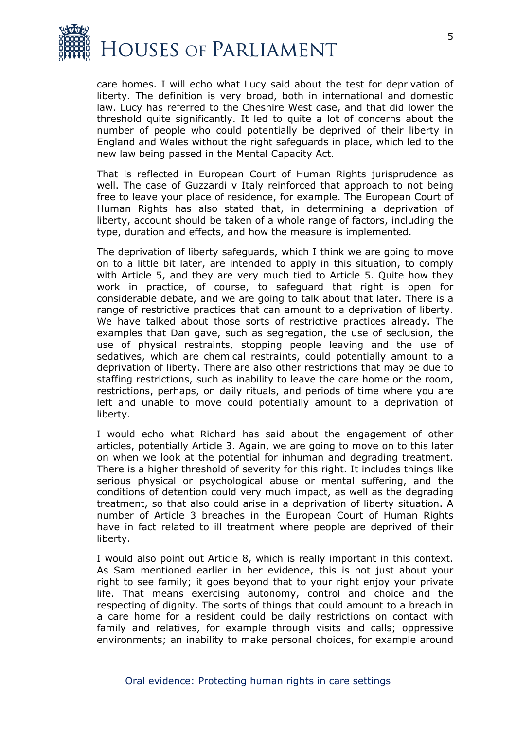

care homes. I will echo what Lucy said about the test for deprivation of liberty. The definition is very broad, both in international and domestic law. Lucy has referred to the Cheshire West case, and that did lower the threshold quite significantly. It led to quite a lot of concerns about the number of people who could potentially be deprived of their liberty in England and Wales without the right safeguards in place, which led to the new law being passed in the Mental Capacity Act.

That is reflected in European Court of Human Rights jurisprudence as well. The case of Guzzardi v Italy reinforced that approach to not being free to leave your place of residence, for example. The European Court of Human Rights has also stated that, in determining a deprivation of liberty, account should be taken of a whole range of factors, including the type, duration and effects, and how the measure is implemented.

The deprivation of liberty safeguards, which I think we are going to move on to a little bit later, are intended to apply in this situation, to comply with Article 5, and they are very much tied to Article 5. Quite how they work in practice, of course, to safeguard that right is open for considerable debate, and we are going to talk about that later. There is a range of restrictive practices that can amount to a deprivation of liberty. We have talked about those sorts of restrictive practices already. The examples that Dan gave, such as segregation, the use of seclusion, the use of physical restraints, stopping people leaving and the use of sedatives, which are chemical restraints, could potentially amount to a deprivation of liberty. There are also other restrictions that may be due to staffing restrictions, such as inability to leave the care home or the room, restrictions, perhaps, on daily rituals, and periods of time where you are left and unable to move could potentially amount to a deprivation of liberty.

I would echo what Richard has said about the engagement of other articles, potentially Article 3. Again, we are going to move on to this later on when we look at the potential for inhuman and degrading treatment. There is a higher threshold of severity for this right. It includes things like serious physical or psychological abuse or mental suffering, and the conditions of detention could very much impact, as well as the degrading treatment, so that also could arise in a deprivation of liberty situation. A number of Article 3 breaches in the European Court of Human Rights have in fact related to ill treatment where people are deprived of their liberty.

I would also point out Article 8, which is really important in this context. As Sam mentioned earlier in her evidence, this is not just about your right to see family; it goes beyond that to your right enjoy your private life. That means exercising autonomy, control and choice and the respecting of dignity. The sorts of things that could amount to a breach in a care home for a resident could be daily restrictions on contact with family and relatives, for example through visits and calls; oppressive environments; an inability to make personal choices, for example around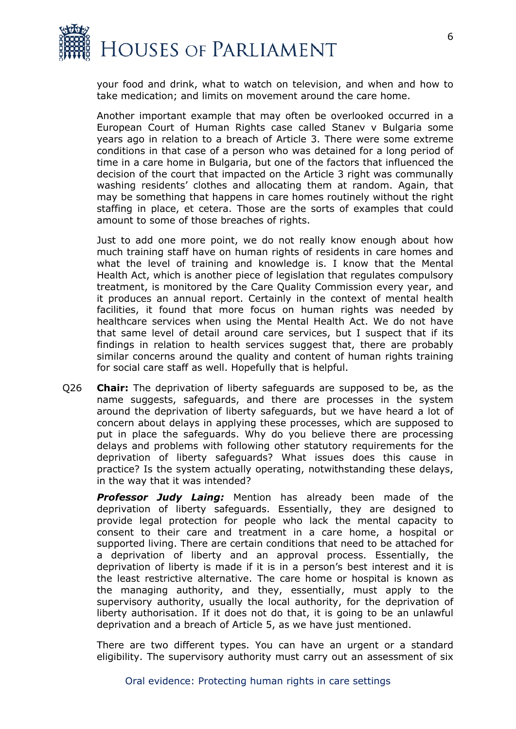

your food and drink, what to watch on television, and when and how to take medication; and limits on movement around the care home.

Another important example that may often be overlooked occurred in a European Court of Human Rights case called Stanev v Bulgaria some years ago in relation to a breach of Article 3. There were some extreme conditions in that case of a person who was detained for a long period of time in a care home in Bulgaria, but one of the factors that influenced the decision of the court that impacted on the Article 3 right was communally washing residents' clothes and allocating them at random. Again, that may be something that happens in care homes routinely without the right staffing in place, et cetera. Those are the sorts of examples that could amount to some of those breaches of rights.

Just to add one more point, we do not really know enough about how much training staff have on human rights of residents in care homes and what the level of training and knowledge is. I know that the Mental Health Act, which is another piece of legislation that regulates compulsory treatment, is monitored by the Care Quality Commission every year, and it produces an annual report. Certainly in the context of mental health facilities, it found that more focus on human rights was needed by healthcare services when using the Mental Health Act. We do not have that same level of detail around care services, but I suspect that if its findings in relation to health services suggest that, there are probably similar concerns around the quality and content of human rights training for social care staff as well. Hopefully that is helpful.

Q26 **Chair:** The deprivation of liberty safeguards are supposed to be, as the name suggests, safeguards, and there are processes in the system around the deprivation of liberty safeguards, but we have heard a lot of concern about delays in applying these processes, which are supposed to put in place the safeguards. Why do you believe there are processing delays and problems with following other statutory requirements for the deprivation of liberty safeguards? What issues does this cause in practice? Is the system actually operating, notwithstanding these delays, in the way that it was intended?

*Professor Judy Laing:* Mention has already been made of the deprivation of liberty safeguards. Essentially, they are designed to provide legal protection for people who lack the mental capacity to consent to their care and treatment in a care home, a hospital or supported living. There are certain conditions that need to be attached for a deprivation of liberty and an approval process. Essentially, the deprivation of liberty is made if it is in a person's best interest and it is the least restrictive alternative. The care home or hospital is known as the managing authority, and they, essentially, must apply to the supervisory authority, usually the local authority, for the deprivation of liberty authorisation. If it does not do that, it is going to be an unlawful deprivation and a breach of Article 5, as we have just mentioned.

There are two different types. You can have an urgent or a standard eligibility. The supervisory authority must carry out an assessment of six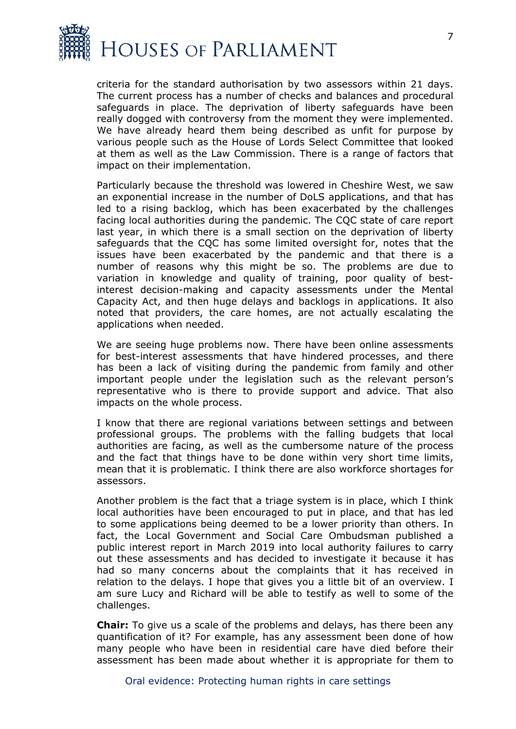

criteria for the standard authorisation by two assessors within 21 days. The current process has a number of checks and balances and procedural safeguards in place. The deprivation of liberty safeguards have been really dogged with controversy from the moment they were implemented. We have already heard them being described as unfit for purpose by various people such as the House of Lords Select Committee that looked at them as well as the Law Commission. There is a range of factors that impact on their implementation.

Particularly because the threshold was lowered in Cheshire West, we saw an exponential increase in the number of DoLS applications, and that has led to a rising backlog, which has been exacerbated by the challenges facing local authorities during the pandemic. The CQC state of care report last year, in which there is a small section on the deprivation of liberty safeguards that the CQC has some limited oversight for, notes that the issues have been exacerbated by the pandemic and that there is a number of reasons why this might be so. The problems are due to variation in knowledge and quality of training, poor quality of bestinterest decision-making and capacity assessments under the Mental Capacity Act, and then huge delays and backlogs in applications. It also noted that providers, the care homes, are not actually escalating the applications when needed.

We are seeing huge problems now. There have been online assessments for best-interest assessments that have hindered processes, and there has been a lack of visiting during the pandemic from family and other important people under the legislation such as the relevant person's representative who is there to provide support and advice. That also impacts on the whole process.

I know that there are regional variations between settings and between professional groups. The problems with the falling budgets that local authorities are facing, as well as the cumbersome nature of the process and the fact that things have to be done within very short time limits, mean that it is problematic. I think there are also workforce shortages for assessors.

Another problem is the fact that a triage system is in place, which I think local authorities have been encouraged to put in place, and that has led to some applications being deemed to be a lower priority than others. In fact, the Local Government and Social Care Ombudsman published a public interest report in March 2019 into local authority failures to carry out these assessments and has decided to investigate it because it has had so many concerns about the complaints that it has received in relation to the delays. I hope that gives you a little bit of an overview. I am sure Lucy and Richard will be able to testify as well to some of the challenges.

**Chair:** To give us a scale of the problems and delays, has there been any quantification of it? For example, has any assessment been done of how many people who have been in residential care have died before their assessment has been made about whether it is appropriate for them to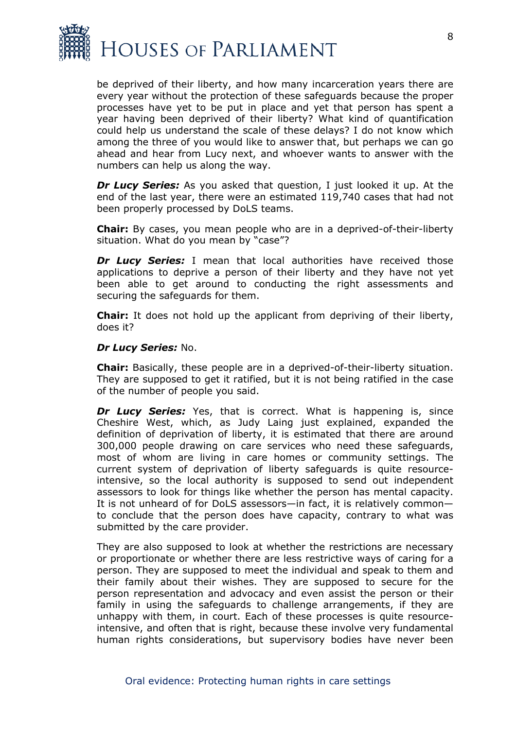

be deprived of their liberty, and how many incarceration years there are every year without the protection of these safeguards because the proper processes have yet to be put in place and yet that person has spent a year having been deprived of their liberty? What kind of quantification could help us understand the scale of these delays? I do not know which among the three of you would like to answer that, but perhaps we can go ahead and hear from Lucy next, and whoever wants to answer with the numbers can help us along the way.

*Dr Lucy Series:* As you asked that question, I just looked it up. At the end of the last year, there were an estimated 119,740 cases that had not been properly processed by DoLS teams.

**Chair:** By cases, you mean people who are in a deprived-of-their-liberty situation. What do you mean by "case"?

**Dr Lucy Series:** I mean that local authorities have received those applications to deprive a person of their liberty and they have not yet been able to get around to conducting the right assessments and securing the safeguards for them.

**Chair:** It does not hold up the applicant from depriving of their liberty, does it?

#### *Dr Lucy Series:* No.

**Chair:** Basically, these people are in a deprived-of-their-liberty situation. They are supposed to get it ratified, but it is not being ratified in the case of the number of people you said.

**Dr Lucy Series:** Yes, that is correct. What is happening is, since Cheshire West, which, as Judy Laing just explained, expanded the definition of deprivation of liberty, it is estimated that there are around 300,000 people drawing on care services who need these safeguards, most of whom are living in care homes or community settings. The current system of deprivation of liberty safeguards is quite resourceintensive, so the local authority is supposed to send out independent assessors to look for things like whether the person has mental capacity. It is not unheard of for DoLS assessors—in fact, it is relatively common to conclude that the person does have capacity, contrary to what was submitted by the care provider.

They are also supposed to look at whether the restrictions are necessary or proportionate or whether there are less restrictive ways of caring for a person. They are supposed to meet the individual and speak to them and their family about their wishes. They are supposed to secure for the person representation and advocacy and even assist the person or their family in using the safeguards to challenge arrangements, if they are unhappy with them, in court. Each of these processes is quite resourceintensive, and often that is right, because these involve very fundamental human rights considerations, but supervisory bodies have never been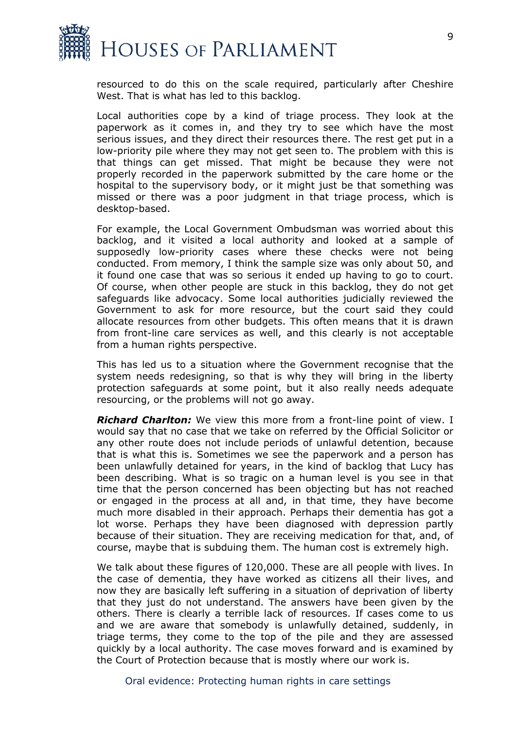

resourced to do this on the scale required, particularly after Cheshire West. That is what has led to this backlog.

Local authorities cope by a kind of triage process. They look at the paperwork as it comes in, and they try to see which have the most serious issues, and they direct their resources there. The rest get put in a low-priority pile where they may not get seen to. The problem with this is that things can get missed. That might be because they were not properly recorded in the paperwork submitted by the care home or the hospital to the supervisory body, or it might just be that something was missed or there was a poor judgment in that triage process, which is desktop-based.

For example, the Local Government Ombudsman was worried about this backlog, and it visited a local authority and looked at a sample of supposedly low-priority cases where these checks were not being conducted. From memory, I think the sample size was only about 50, and it found one case that was so serious it ended up having to go to court. Of course, when other people are stuck in this backlog, they do not get safeguards like advocacy. Some local authorities judicially reviewed the Government to ask for more resource, but the court said they could allocate resources from other budgets. This often means that it is drawn from front-line care services as well, and this clearly is not acceptable from a human rights perspective.

This has led us to a situation where the Government recognise that the system needs redesigning, so that is why they will bring in the liberty protection safeguards at some point, but it also really needs adequate resourcing, or the problems will not go away.

*Richard Charlton:* We view this more from a front-line point of view. I would say that no case that we take on referred by the Official Solicitor or any other route does not include periods of unlawful detention, because that is what this is. Sometimes we see the paperwork and a person has been unlawfully detained for years, in the kind of backlog that Lucy has been describing. What is so tragic on a human level is you see in that time that the person concerned has been objecting but has not reached or engaged in the process at all and, in that time, they have become much more disabled in their approach. Perhaps their dementia has got a lot worse. Perhaps they have been diagnosed with depression partly because of their situation. They are receiving medication for that, and, of course, maybe that is subduing them. The human cost is extremely high.

We talk about these figures of 120,000. These are all people with lives. In the case of dementia, they have worked as citizens all their lives, and now they are basically left suffering in a situation of deprivation of liberty that they just do not understand. The answers have been given by the others. There is clearly a terrible lack of resources. If cases come to us and we are aware that somebody is unlawfully detained, suddenly, in triage terms, they come to the top of the pile and they are assessed quickly by a local authority. The case moves forward and is examined by the Court of Protection because that is mostly where our work is.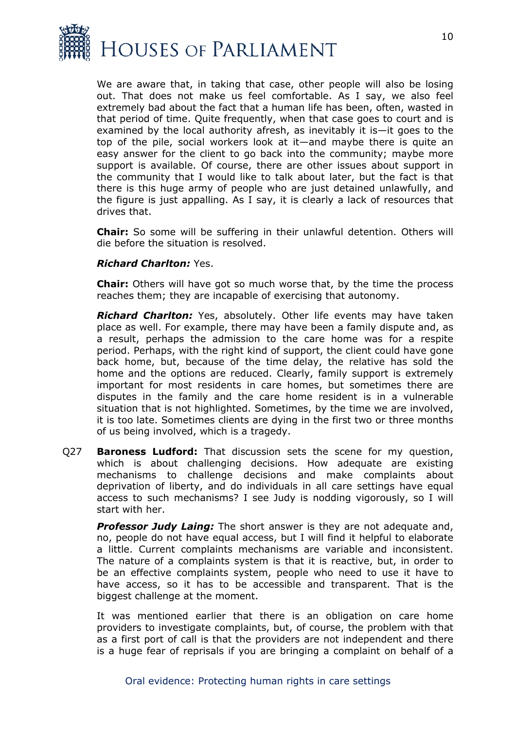

We are aware that, in taking that case, other people will also be losing out. That does not make us feel comfortable. As I say, we also feel extremely bad about the fact that a human life has been, often, wasted in that period of time. Quite frequently, when that case goes to court and is examined by the local authority afresh, as inevitably it is—it goes to the top of the pile, social workers look at it—and maybe there is quite an easy answer for the client to go back into the community; maybe more support is available. Of course, there are other issues about support in the community that I would like to talk about later, but the fact is that there is this huge army of people who are just detained unlawfully, and the figure is just appalling. As I say, it is clearly a lack of resources that drives that.

**Chair:** So some will be suffering in their unlawful detention. Others will die before the situation is resolved.

#### *Richard Charlton:* Yes.

**Chair:** Others will have got so much worse that, by the time the process reaches them; they are incapable of exercising that autonomy.

*Richard Charlton:* Yes, absolutely. Other life events may have taken place as well. For example, there may have been a family dispute and, as a result, perhaps the admission to the care home was for a respite period. Perhaps, with the right kind of support, the client could have gone back home, but, because of the time delay, the relative has sold the home and the options are reduced. Clearly, family support is extremely important for most residents in care homes, but sometimes there are disputes in the family and the care home resident is in a vulnerable situation that is not highlighted. Sometimes, by the time we are involved, it is too late. Sometimes clients are dying in the first two or three months of us being involved, which is a tragedy.

Q27 **Baroness Ludford:** That discussion sets the scene for my question, which is about challenging decisions. How adequate are existing mechanisms to challenge decisions and make complaints about deprivation of liberty, and do individuals in all care settings have equal access to such mechanisms? I see Judy is nodding vigorously, so I will start with her.

*Professor Judy Laing:* The short answer is they are not adequate and, no, people do not have equal access, but I will find it helpful to elaborate a little. Current complaints mechanisms are variable and inconsistent. The nature of a complaints system is that it is reactive, but, in order to be an effective complaints system, people who need to use it have to have access, so it has to be accessible and transparent. That is the biggest challenge at the moment.

It was mentioned earlier that there is an obligation on care home providers to investigate complaints, but, of course, the problem with that as a first port of call is that the providers are not independent and there is a huge fear of reprisals if you are bringing a complaint on behalf of a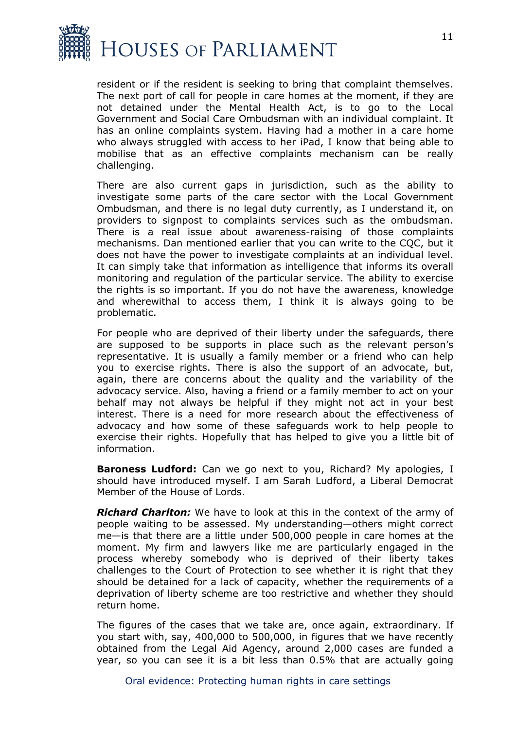

resident or if the resident is seeking to bring that complaint themselves. The next port of call for people in care homes at the moment, if they are not detained under the Mental Health Act, is to go to the Local Government and Social Care Ombudsman with an individual complaint. It has an online complaints system. Having had a mother in a care home who always struggled with access to her iPad, I know that being able to mobilise that as an effective complaints mechanism can be really challenging.

There are also current gaps in jurisdiction, such as the ability to investigate some parts of the care sector with the Local Government Ombudsman, and there is no legal duty currently, as I understand it, on providers to signpost to complaints services such as the ombudsman. There is a real issue about awareness-raising of those complaints mechanisms. Dan mentioned earlier that you can write to the CQC, but it does not have the power to investigate complaints at an individual level. It can simply take that information as intelligence that informs its overall monitoring and regulation of the particular service. The ability to exercise the rights is so important. If you do not have the awareness, knowledge and wherewithal to access them, I think it is always going to be problematic.

For people who are deprived of their liberty under the safeguards, there are supposed to be supports in place such as the relevant person's representative. It is usually a family member or a friend who can help you to exercise rights. There is also the support of an advocate, but, again, there are concerns about the quality and the variability of the advocacy service. Also, having a friend or a family member to act on your behalf may not always be helpful if they might not act in your best interest. There is a need for more research about the effectiveness of advocacy and how some of these safeguards work to help people to exercise their rights. Hopefully that has helped to give you a little bit of information.

**Baroness Ludford:** Can we go next to you, Richard? My apologies, I should have introduced myself. I am Sarah Ludford, a Liberal Democrat Member of the House of Lords.

*Richard Charlton:* We have to look at this in the context of the army of people waiting to be assessed. My understanding—others might correct me—is that there are a little under 500,000 people in care homes at the moment. My firm and lawyers like me are particularly engaged in the process whereby somebody who is deprived of their liberty takes challenges to the Court of Protection to see whether it is right that they should be detained for a lack of capacity, whether the requirements of a deprivation of liberty scheme are too restrictive and whether they should return home.

The figures of the cases that we take are, once again, extraordinary. If you start with, say, 400,000 to 500,000, in figures that we have recently obtained from the Legal Aid Agency, around 2,000 cases are funded a year, so you can see it is a bit less than 0.5% that are actually going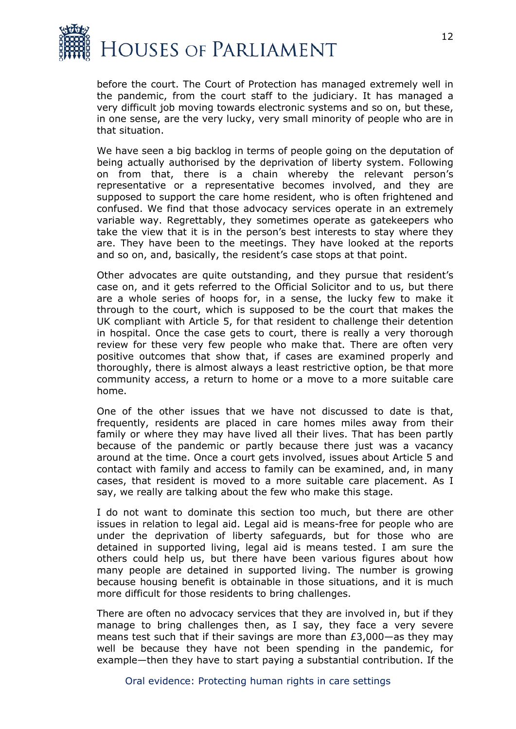

before the court. The Court of Protection has managed extremely well in the pandemic, from the court staff to the judiciary. It has managed a very difficult job moving towards electronic systems and so on, but these, in one sense, are the very lucky, very small minority of people who are in that situation.

We have seen a big backlog in terms of people going on the deputation of being actually authorised by the deprivation of liberty system. Following on from that, there is a chain whereby the relevant person's representative or a representative becomes involved, and they are supposed to support the care home resident, who is often frightened and confused. We find that those advocacy services operate in an extremely variable way. Regrettably, they sometimes operate as gatekeepers who take the view that it is in the person's best interests to stay where they are. They have been to the meetings. They have looked at the reports and so on, and, basically, the resident's case stops at that point.

Other advocates are quite outstanding, and they pursue that resident's case on, and it gets referred to the Official Solicitor and to us, but there are a whole series of hoops for, in a sense, the lucky few to make it through to the court, which is supposed to be the court that makes the UK compliant with Article 5, for that resident to challenge their detention in hospital. Once the case gets to court, there is really a very thorough review for these very few people who make that. There are often very positive outcomes that show that, if cases are examined properly and thoroughly, there is almost always a least restrictive option, be that more community access, a return to home or a move to a more suitable care home.

One of the other issues that we have not discussed to date is that, frequently, residents are placed in care homes miles away from their family or where they may have lived all their lives. That has been partly because of the pandemic or partly because there just was a vacancy around at the time. Once a court gets involved, issues about Article 5 and contact with family and access to family can be examined, and, in many cases, that resident is moved to a more suitable care placement. As I say, we really are talking about the few who make this stage.

I do not want to dominate this section too much, but there are other issues in relation to legal aid. Legal aid is means-free for people who are under the deprivation of liberty safeguards, but for those who are detained in supported living, legal aid is means tested. I am sure the others could help us, but there have been various figures about how many people are detained in supported living. The number is growing because housing benefit is obtainable in those situations, and it is much more difficult for those residents to bring challenges.

There are often no advocacy services that they are involved in, but if they manage to bring challenges then, as I say, they face a very severe means test such that if their savings are more than  $E3,000$ —as they may well be because they have not been spending in the pandemic, for example—then they have to start paying a substantial contribution. If the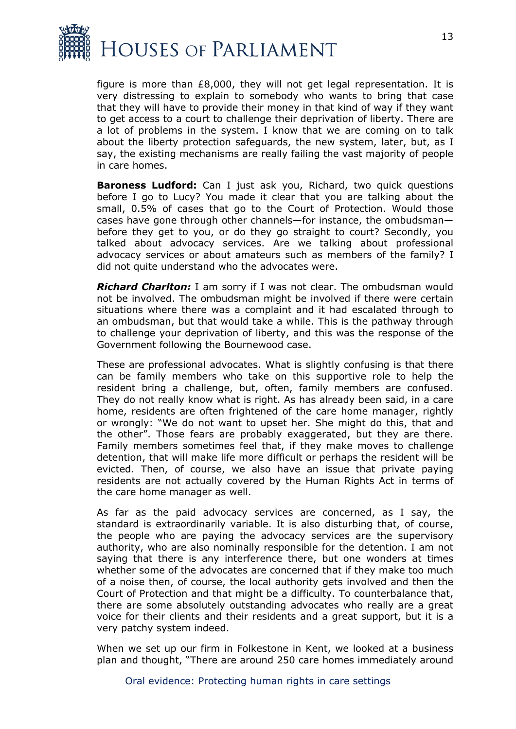

figure is more than £8,000, they will not get legal representation. It is very distressing to explain to somebody who wants to bring that case that they will have to provide their money in that kind of way if they want to get access to a court to challenge their deprivation of liberty. There are a lot of problems in the system. I know that we are coming on to talk about the liberty protection safeguards, the new system, later, but, as I say, the existing mechanisms are really failing the vast majority of people in care homes.

**Baroness Ludford:** Can I just ask you, Richard, two quick questions before I go to Lucy? You made it clear that you are talking about the small, 0.5% of cases that go to the Court of Protection. Would those cases have gone through other channels—for instance, the ombudsman before they get to you, or do they go straight to court? Secondly, you talked about advocacy services. Are we talking about professional advocacy services or about amateurs such as members of the family? I did not quite understand who the advocates were.

*Richard Charlton:* I am sorry if I was not clear. The ombudsman would not be involved. The ombudsman might be involved if there were certain situations where there was a complaint and it had escalated through to an ombudsman, but that would take a while. This is the pathway through to challenge your deprivation of liberty, and this was the response of the Government following the Bournewood case.

These are professional advocates. What is slightly confusing is that there can be family members who take on this supportive role to help the resident bring a challenge, but, often, family members are confused. They do not really know what is right. As has already been said, in a care home, residents are often frightened of the care home manager, rightly or wrongly: "We do not want to upset her. She might do this, that and the other". Those fears are probably exaggerated, but they are there. Family members sometimes feel that, if they make moves to challenge detention, that will make life more difficult or perhaps the resident will be evicted. Then, of course, we also have an issue that private paying residents are not actually covered by the Human Rights Act in terms of the care home manager as well.

As far as the paid advocacy services are concerned, as I say, the standard is extraordinarily variable. It is also disturbing that, of course, the people who are paying the advocacy services are the supervisory authority, who are also nominally responsible for the detention. I am not saying that there is any interference there, but one wonders at times whether some of the advocates are concerned that if they make too much of a noise then, of course, the local authority gets involved and then the Court of Protection and that might be a difficulty. To counterbalance that, there are some absolutely outstanding advocates who really are a great voice for their clients and their residents and a great support, but it is a very patchy system indeed.

When we set up our firm in Folkestone in Kent, we looked at a business plan and thought, "There are around 250 care homes immediately around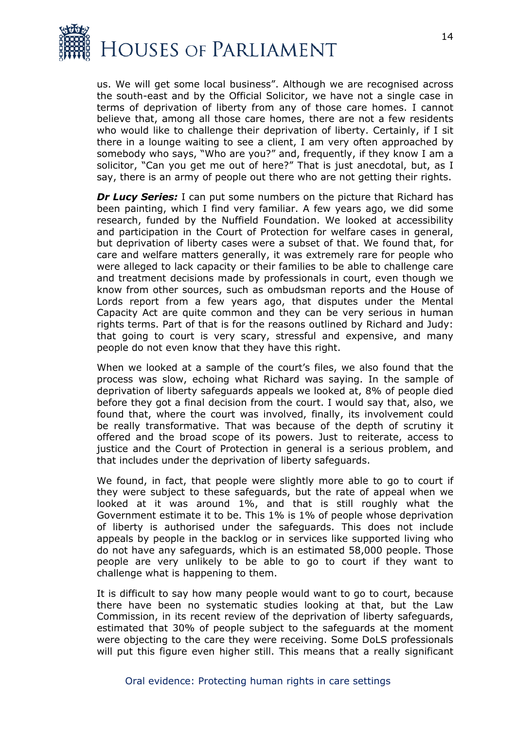

us. We will get some local business". Although we are recognised across the south-east and by the Official Solicitor, we have not a single case in terms of deprivation of liberty from any of those care homes. I cannot believe that, among all those care homes, there are not a few residents who would like to challenge their deprivation of liberty. Certainly, if I sit there in a lounge waiting to see a client, I am very often approached by somebody who says, "Who are you?" and, frequently, if they know I am a solicitor, "Can you get me out of here?" That is just anecdotal, but, as I say, there is an army of people out there who are not getting their rights.

*Dr Lucy Series:* I can put some numbers on the picture that Richard has been painting, which I find very familiar. A few years ago, we did some research, funded by the Nuffield Foundation. We looked at accessibility and participation in the Court of Protection for welfare cases in general, but deprivation of liberty cases were a subset of that. We found that, for care and welfare matters generally, it was extremely rare for people who were alleged to lack capacity or their families to be able to challenge care and treatment decisions made by professionals in court, even though we know from other sources, such as ombudsman reports and the House of Lords report from a few years ago, that disputes under the Mental Capacity Act are quite common and they can be very serious in human rights terms. Part of that is for the reasons outlined by Richard and Judy: that going to court is very scary, stressful and expensive, and many people do not even know that they have this right.

When we looked at a sample of the court's files, we also found that the process was slow, echoing what Richard was saying. In the sample of deprivation of liberty safeguards appeals we looked at, 8% of people died before they got a final decision from the court. I would say that, also, we found that, where the court was involved, finally, its involvement could be really transformative. That was because of the depth of scrutiny it offered and the broad scope of its powers. Just to reiterate, access to justice and the Court of Protection in general is a serious problem, and that includes under the deprivation of liberty safeguards.

We found, in fact, that people were slightly more able to go to court if they were subject to these safeguards, but the rate of appeal when we looked at it was around 1%, and that is still roughly what the Government estimate it to be. This 1% is 1% of people whose deprivation of liberty is authorised under the safeguards. This does not include appeals by people in the backlog or in services like supported living who do not have any safeguards, which is an estimated 58,000 people. Those people are very unlikely to be able to go to court if they want to challenge what is happening to them.

It is difficult to say how many people would want to go to court, because there have been no systematic studies looking at that, but the Law Commission, in its recent review of the deprivation of liberty safeguards, estimated that 30% of people subject to the safeguards at the moment were objecting to the care they were receiving. Some DoLS professionals will put this figure even higher still. This means that a really significant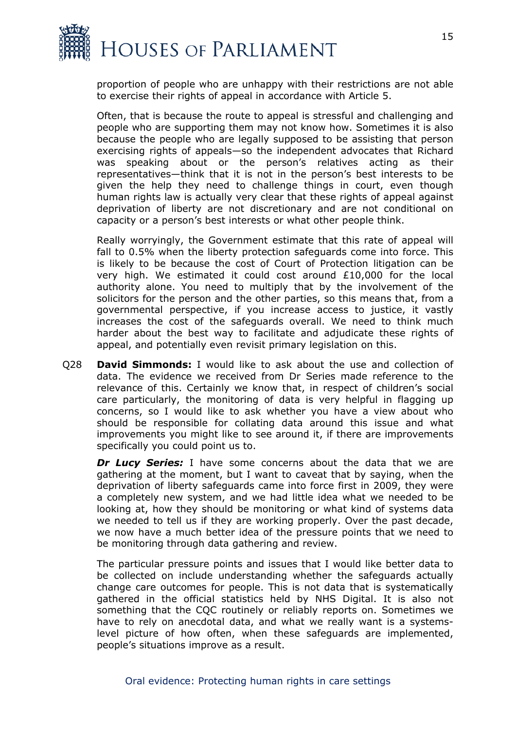

proportion of people who are unhappy with their restrictions are not able to exercise their rights of appeal in accordance with Article 5.

Often, that is because the route to appeal is stressful and challenging and people who are supporting them may not know how. Sometimes it is also because the people who are legally supposed to be assisting that person exercising rights of appeals—so the independent advocates that Richard was speaking about or the person's relatives acting as their representatives—think that it is not in the person's best interests to be given the help they need to challenge things in court, even though human rights law is actually very clear that these rights of appeal against deprivation of liberty are not discretionary and are not conditional on capacity or a person's best interests or what other people think.

Really worryingly, the Government estimate that this rate of appeal will fall to 0.5% when the liberty protection safeguards come into force. This is likely to be because the cost of Court of Protection litigation can be very high. We estimated it could cost around £10,000 for the local authority alone. You need to multiply that by the involvement of the solicitors for the person and the other parties, so this means that, from a governmental perspective, if you increase access to justice, it vastly increases the cost of the safeguards overall. We need to think much harder about the best way to facilitate and adjudicate these rights of appeal, and potentially even revisit primary legislation on this.

Q28 **David Simmonds:** I would like to ask about the use and collection of data. The evidence we received from Dr Series made reference to the relevance of this. Certainly we know that, in respect of children's social care particularly, the monitoring of data is very helpful in flagging up concerns, so I would like to ask whether you have a view about who should be responsible for collating data around this issue and what improvements you might like to see around it, if there are improvements specifically you could point us to.

**Dr Lucy Series:** I have some concerns about the data that we are gathering at the moment, but I want to caveat that by saying, when the deprivation of liberty safeguards came into force first in 2009, they were a completely new system, and we had little idea what we needed to be looking at, how they should be monitoring or what kind of systems data we needed to tell us if they are working properly. Over the past decade, we now have a much better idea of the pressure points that we need to be monitoring through data gathering and review.

The particular pressure points and issues that I would like better data to be collected on include understanding whether the safeguards actually change care outcomes for people. This is not data that is systematically gathered in the official statistics held by NHS Digital. It is also not something that the CQC routinely or reliably reports on. Sometimes we have to rely on anecdotal data, and what we really want is a systemslevel picture of how often, when these safeguards are implemented, people's situations improve as a result.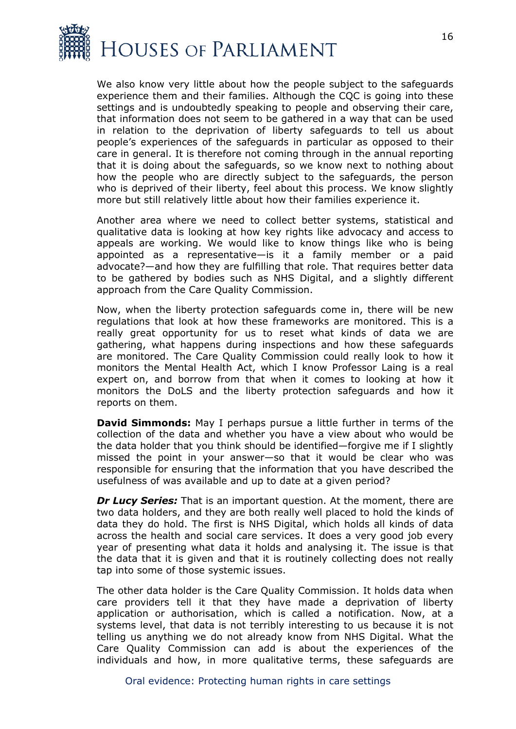

We also know very little about how the people subject to the safeguards experience them and their families. Although the CQC is going into these settings and is undoubtedly speaking to people and observing their care, that information does not seem to be gathered in a way that can be used in relation to the deprivation of liberty safeguards to tell us about people's experiences of the safeguards in particular as opposed to their care in general. It is therefore not coming through in the annual reporting that it is doing about the safeguards, so we know next to nothing about how the people who are directly subject to the safeguards, the person who is deprived of their liberty, feel about this process. We know slightly more but still relatively little about how their families experience it.

Another area where we need to collect better systems, statistical and qualitative data is looking at how key rights like advocacy and access to appeals are working. We would like to know things like who is being appointed as a representative—is it a family member or a paid advocate?—and how they are fulfilling that role. That requires better data to be gathered by bodies such as NHS Digital, and a slightly different approach from the Care Quality Commission.

Now, when the liberty protection safeguards come in, there will be new regulations that look at how these frameworks are monitored. This is a really great opportunity for us to reset what kinds of data we are gathering, what happens during inspections and how these safeguards are monitored. The Care Quality Commission could really look to how it monitors the Mental Health Act, which I know Professor Laing is a real expert on, and borrow from that when it comes to looking at how it monitors the DoLS and the liberty protection safeguards and how it reports on them.

**David Simmonds:** May I perhaps pursue a little further in terms of the collection of the data and whether you have a view about who would be the data holder that you think should be identified—forgive me if I slightly missed the point in your answer—so that it would be clear who was responsible for ensuring that the information that you have described the usefulness of was available and up to date at a given period?

*Dr Lucy Series:* That is an important question. At the moment, there are two data holders, and they are both really well placed to hold the kinds of data they do hold. The first is NHS Digital, which holds all kinds of data across the health and social care services. It does a very good job every year of presenting what data it holds and analysing it. The issue is that the data that it is given and that it is routinely collecting does not really tap into some of those systemic issues.

The other data holder is the Care Quality Commission. It holds data when care providers tell it that they have made a deprivation of liberty application or authorisation, which is called a notification. Now, at a systems level, that data is not terribly interesting to us because it is not telling us anything we do not already know from NHS Digital. What the Care Quality Commission can add is about the experiences of the individuals and how, in more qualitative terms, these safeguards are

Oral evidence: Protecting human rights in care settings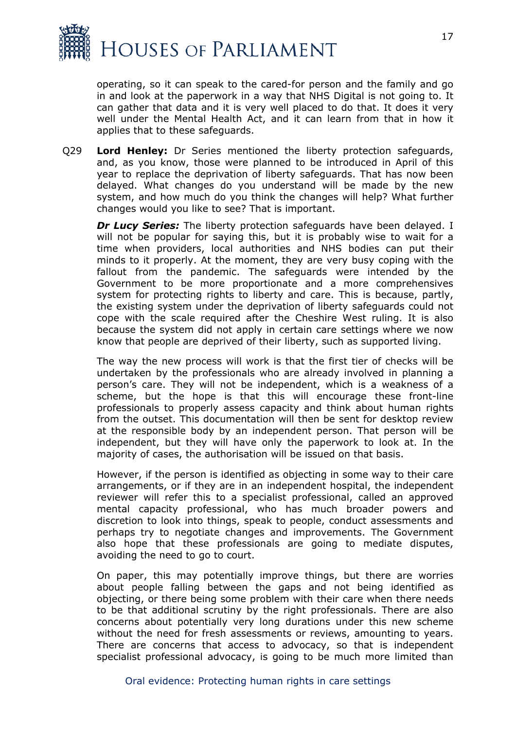

operating, so it can speak to the cared-for person and the family and go in and look at the paperwork in a way that NHS Digital is not going to. It can gather that data and it is very well placed to do that. It does it very well under the Mental Health Act, and it can learn from that in how it applies that to these safeguards.

Q29 **Lord Henley:** Dr Series mentioned the liberty protection safeguards, and, as you know, those were planned to be introduced in April of this year to replace the deprivation of liberty safeguards. That has now been delayed. What changes do you understand will be made by the new system, and how much do you think the changes will help? What further changes would you like to see? That is important.

*Dr Lucy Series:* The liberty protection safeguards have been delayed. I will not be popular for saying this, but it is probably wise to wait for a time when providers, local authorities and NHS bodies can put their minds to it properly. At the moment, they are very busy coping with the fallout from the pandemic. The safeguards were intended by the Government to be more proportionate and a more comprehensives system for protecting rights to liberty and care. This is because, partly, the existing system under the deprivation of liberty safeguards could not cope with the scale required after the Cheshire West ruling. It is also because the system did not apply in certain care settings where we now know that people are deprived of their liberty, such as supported living.

The way the new process will work is that the first tier of checks will be undertaken by the professionals who are already involved in planning a person's care. They will not be independent, which is a weakness of a scheme, but the hope is that this will encourage these front-line professionals to properly assess capacity and think about human rights from the outset. This documentation will then be sent for desktop review at the responsible body by an independent person. That person will be independent, but they will have only the paperwork to look at. In the majority of cases, the authorisation will be issued on that basis.

However, if the person is identified as objecting in some way to their care arrangements, or if they are in an independent hospital, the independent reviewer will refer this to a specialist professional, called an approved mental capacity professional, who has much broader powers and discretion to look into things, speak to people, conduct assessments and perhaps try to negotiate changes and improvements. The Government also hope that these professionals are going to mediate disputes, avoiding the need to go to court.

On paper, this may potentially improve things, but there are worries about people falling between the gaps and not being identified as objecting, or there being some problem with their care when there needs to be that additional scrutiny by the right professionals. There are also concerns about potentially very long durations under this new scheme without the need for fresh assessments or reviews, amounting to years. There are concerns that access to advocacy, so that is independent specialist professional advocacy, is going to be much more limited than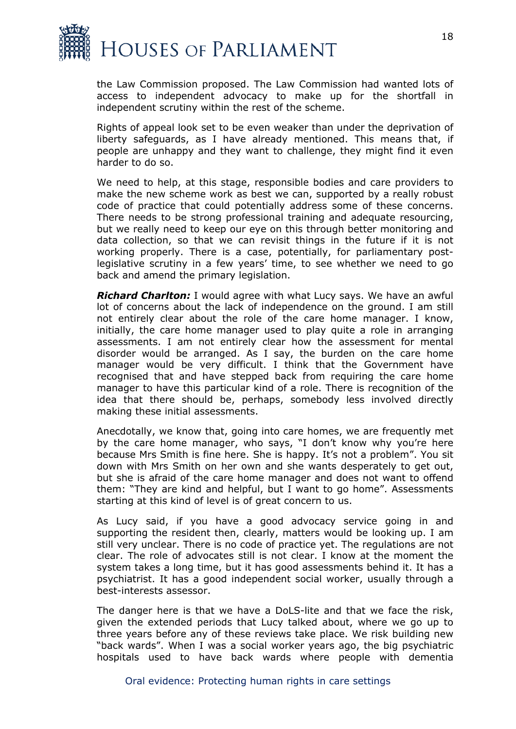

the Law Commission proposed. The Law Commission had wanted lots of access to independent advocacy to make up for the shortfall in independent scrutiny within the rest of the scheme.

Rights of appeal look set to be even weaker than under the deprivation of liberty safeguards, as I have already mentioned. This means that, if people are unhappy and they want to challenge, they might find it even harder to do so.

We need to help, at this stage, responsible bodies and care providers to make the new scheme work as best we can, supported by a really robust code of practice that could potentially address some of these concerns. There needs to be strong professional training and adequate resourcing, but we really need to keep our eye on this through better monitoring and data collection, so that we can revisit things in the future if it is not working properly. There is a case, potentially, for parliamentary postlegislative scrutiny in a few years' time, to see whether we need to go back and amend the primary legislation.

*Richard Charlton:* I would agree with what Lucy says. We have an awful lot of concerns about the lack of independence on the ground. I am still not entirely clear about the role of the care home manager. I know, initially, the care home manager used to play quite a role in arranging assessments. I am not entirely clear how the assessment for mental disorder would be arranged. As I say, the burden on the care home manager would be very difficult. I think that the Government have recognised that and have stepped back from requiring the care home manager to have this particular kind of a role. There is recognition of the idea that there should be, perhaps, somebody less involved directly making these initial assessments.

Anecdotally, we know that, going into care homes, we are frequently met by the care home manager, who says, "I don't know why you're here because Mrs Smith is fine here. She is happy. It's not a problem". You sit down with Mrs Smith on her own and she wants desperately to get out, but she is afraid of the care home manager and does not want to offend them: "They are kind and helpful, but I want to go home". Assessments starting at this kind of level is of great concern to us.

As Lucy said, if you have a good advocacy service going in and supporting the resident then, clearly, matters would be looking up. I am still very unclear. There is no code of practice yet. The regulations are not clear. The role of advocates still is not clear. I know at the moment the system takes a long time, but it has good assessments behind it. It has a psychiatrist. It has a good independent social worker, usually through a best-interests assessor.

The danger here is that we have a DoLS-lite and that we face the risk, given the extended periods that Lucy talked about, where we go up to three years before any of these reviews take place. We risk building new "back wards". When I was a social worker years ago, the big psychiatric hospitals used to have back wards where people with dementia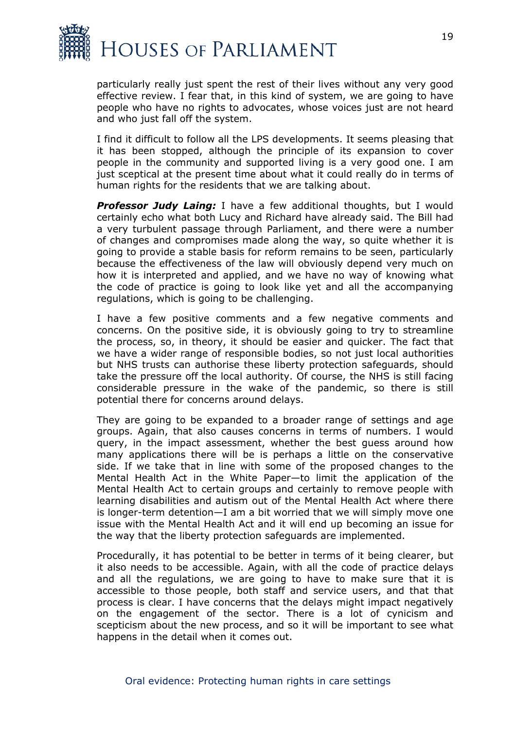

particularly really just spent the rest of their lives without any very good effective review. I fear that, in this kind of system, we are going to have people who have no rights to advocates, whose voices just are not heard and who just fall off the system.

I find it difficult to follow all the LPS developments. It seems pleasing that it has been stopped, although the principle of its expansion to cover people in the community and supported living is a very good one. I am just sceptical at the present time about what it could really do in terms of human rights for the residents that we are talking about.

*Professor Judy Laing:* I have a few additional thoughts, but I would certainly echo what both Lucy and Richard have already said. The Bill had a very turbulent passage through Parliament, and there were a number of changes and compromises made along the way, so quite whether it is going to provide a stable basis for reform remains to be seen, particularly because the effectiveness of the law will obviously depend very much on how it is interpreted and applied, and we have no way of knowing what the code of practice is going to look like yet and all the accompanying regulations, which is going to be challenging.

I have a few positive comments and a few negative comments and concerns. On the positive side, it is obviously going to try to streamline the process, so, in theory, it should be easier and quicker. The fact that we have a wider range of responsible bodies, so not just local authorities but NHS trusts can authorise these liberty protection safeguards, should take the pressure off the local authority. Of course, the NHS is still facing considerable pressure in the wake of the pandemic, so there is still potential there for concerns around delays.

They are going to be expanded to a broader range of settings and age groups. Again, that also causes concerns in terms of numbers. I would query, in the impact assessment, whether the best guess around how many applications there will be is perhaps a little on the conservative side. If we take that in line with some of the proposed changes to the Mental Health Act in the White Paper—to limit the application of the Mental Health Act to certain groups and certainly to remove people with learning disabilities and autism out of the Mental Health Act where there is longer-term detention—I am a bit worried that we will simply move one issue with the Mental Health Act and it will end up becoming an issue for the way that the liberty protection safeguards are implemented.

Procedurally, it has potential to be better in terms of it being clearer, but it also needs to be accessible. Again, with all the code of practice delays and all the regulations, we are going to have to make sure that it is accessible to those people, both staff and service users, and that that process is clear. I have concerns that the delays might impact negatively on the engagement of the sector. There is a lot of cynicism and scepticism about the new process, and so it will be important to see what happens in the detail when it comes out.